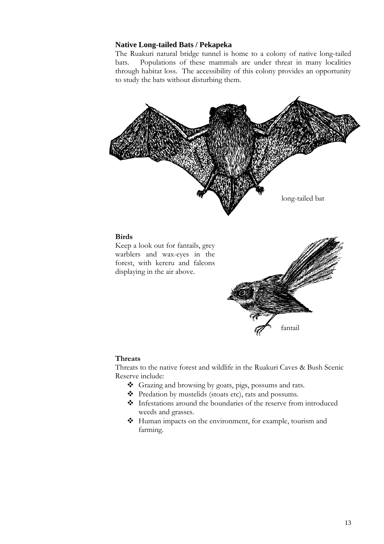## **Native Long-tailed Bats / Pekapeka**

The Ruakuri natural bridge tunnel is home to a colony of native long-tailed bats. Populations of these mammals are under threat in many localities through habitat loss. The accessibility of this colony provides an opportunity to study the bats without disturbing them.



#### **Birds**

Keep a look out for fantails, grey warblers and wax-eyes in the forest, with kereru and falcons displaying in the air above.



### **Threats**

Threats to the native forest and wildlife in the Ruakuri Caves & Bush Scenic Reserve include:

- Grazing and browsing by goats, pigs, possums and rats.
- Predation by mustelids (stoats etc), rats and possums.
- Infestations around the boundaries of the reserve from introduced weeds and grasses.
- Human impacts on the environment, for example, tourism and farming.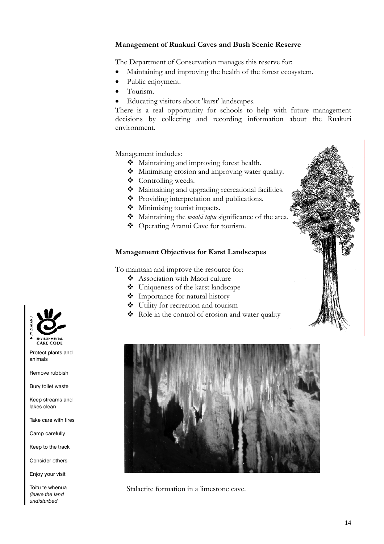# **Management of Ruakuri Caves and Bush Scenic Reserve**

The Department of Conservation manages this reserve for:

- Maintaining and improving the health of the forest ecosystem.
- Public enjoyment.
- Tourism.
- Educating visitors about 'karst' landscapes.

There is a real opportunity for schools to help with future management decisions by collecting and recording information about the Ruakuri environment.

Management includes:

- Maintaining and improving forest health.
- Minimising erosion and improving water quality.
- Controlling weeds.
- $\triangleleft$  Maintaining and upgrading recreational facilities.
- Providing interpretation and publications.
- $\bullet$  Minimising tourist impacts.
- Maintaining the *waahi tapu* significance of the area.
- Operating Aranui Cave for tourism.

# **Management Objectives for Karst Landscapes**

To maintain and improve the resource for:

- Association with Maori culture
- Uniqueness of the karst landscape
- $\bullet$  Importance for natural history
- Utility for recreation and tourism
- \* Role in the control of erosion and water quality



Stalactite formation in a limestone cave.



Protect plants and animals

Remove rubbish

Bury toilet waste

Keep streams and lakes clean

Take care with fires

Camp carefully

Keep to the track

Consider others

Enjoy your visit

Toitu te whenua *(leave the land undisturbed*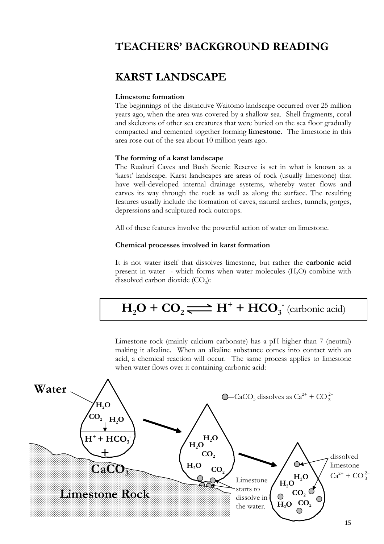# **TEACHERS' BACKGROUND READING**

# **KARST LANDSCAPE**

### **Limestone formation**

The beginnings of the distinctive Waitomo landscape occurred over 25 million years ago, when the area was covered by a shallow sea. Shell fragments, coral and skeletons of other sea creatures that were buried on the sea floor gradually compacted and cemented together forming **limestone**. The limestone in this area rose out of the sea about 10 million years ago.

#### **The forming of a karst landscape**

The Ruakuri Caves and Bush Scenic Reserve is set in what is known as a 'karst' landscape. Karst landscapes are areas of rock (usually limestone) that have well-developed internal drainage systems, whereby water flows and carves its way through the rock as well as along the surface. The resulting features usually include the formation of caves, natural arches, tunnels, gorges, depressions and sculptured rock outcrops.

All of these features involve the powerful action of water on limestone.

### **Chemical processes involved in karst formation**

It is not water itself that dissolves limestone, but rather the **carbonic acid** present in water - which forms when water molecules (H2O) combine with dissolved carbon dioxide  $(CO<sub>2</sub>)$ :

# $H_2O + CO_2 \rightleftharpoons H^+ + HCO_3^-$  (carbonic acid)

Limestone rock (mainly calcium carbonate) has a pH higher than 7 (neutral) making it alkaline. When an alkaline substance comes into contact with an acid, a chemical reaction will occur. The same process applies to limestone when water flows over it containing carbonic acid:

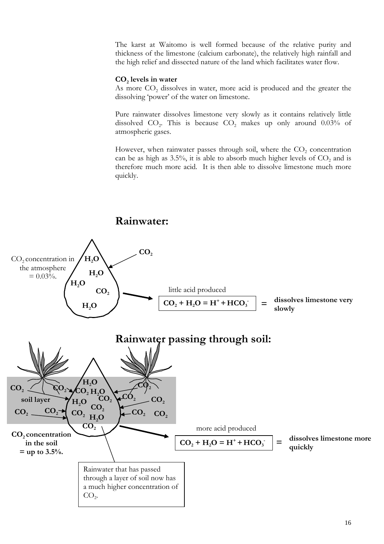The karst at Waitomo is well formed because of the relative purity and thickness of the limestone (calcium carbonate), the relatively high rainfall and the high relief and dissected nature of the land which facilitates water flow.

#### **CO2 levels in water**

As more CO<sub>2</sub> dissolves in water, more acid is produced and the greater the dissolving 'power' of the water on limestone.

Pure rainwater dissolves limestone very slowly as it contains relatively little dissolved  $CO<sub>2</sub>$ . This is because  $CO<sub>2</sub>$  makes up only around 0.03% of atmospheric gases.

However, when rainwater passes through soil, where the  $CO<sub>2</sub>$  concentration can be as high as 3.5%, it is able to absorb much higher levels of  $CO<sub>2</sub>$  and is therefore much more acid. It is then able to dissolve limestone much more quickly.

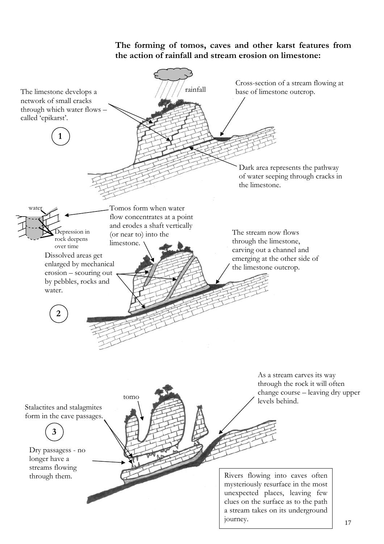# **The forming of tomos, caves and other karst features from the action of rainfall and stream erosion on limestone:**

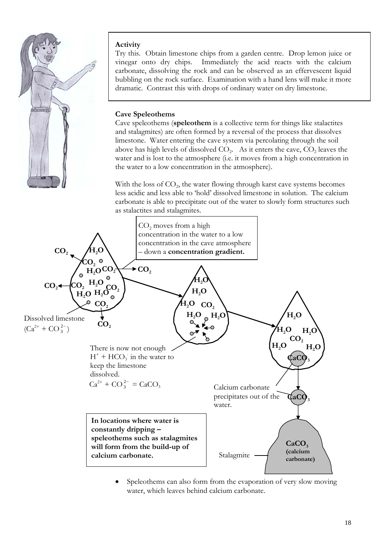

# **Activity**

Try this. Obtain limestone chips from a garden centre. Drop lemon juice or vinegar onto dry chips. Immediately the acid reacts with the calcium carbonate, dissolving the rock and can be observed as an effervescent liquid bubbling on the rock surface. Examination with a hand lens will make it more dramatic. Contrast this with drops of ordinary water on dry limestone.

# **Cave Speleothems**

Cave speleothems (**speleothem** is a collective term for things like stalactites and stalagmites) are often formed by a reversal of the process that dissolves limestone. Water entering the cave system via percolating through the soil above has high levels of dissolved  $CO<sub>2</sub>$ . As it enters the cave,  $CO<sub>2</sub>$  leaves the water and is lost to the atmosphere (i.e. it moves from a high concentration in the water to a low concentration in the atmosphere).

With the loss of  $CO<sub>2</sub>$ , the water flowing through karst cave systems becomes less acidic and less able to 'hold' dissolved limestone in solution. The calcium carbonate is able to precipitate out of the water to slowly form structures such as stalactites and stalagmites.



Speleothems can also form from the evaporation of very slow moving water, which leaves behind calcium carbonate.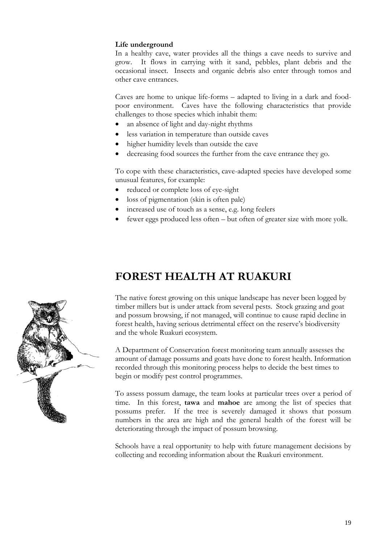# **Life underground**

In a healthy cave, water provides all the things a cave needs to survive and grow. It flows in carrying with it sand, pebbles, plant debris and the occasional insect. Insects and organic debris also enter through tomos and other cave entrances.

Caves are home to unique life-forms – adapted to living in a dark and foodpoor environment. Caves have the following characteristics that provide challenges to those species which inhabit them:

- an absence of light and day-night rhythms
- less variation in temperature than outside caves
- higher humidity levels than outside the cave
- decreasing food sources the further from the cave entrance they go.

To cope with these characteristics, cave-adapted species have developed some unusual features, for example:

- reduced or complete loss of eye-sight
- loss of pigmentation (skin is often pale)
- increased use of touch as a sense, e.g. long feelers
- fewer eggs produced less often but often of greater size with more yolk.

# **FOREST HEALTH AT RUAKURI**

The native forest growing on this unique landscape has never been logged by timber millers but is under attack from several pests. Stock grazing and goat and possum browsing, if not managed, will continue to cause rapid decline in forest health, having serious detrimental effect on the reserve's biodiversity and the whole Ruakuri ecosystem.

A Department of Conservation forest monitoring team annually assesses the amount of damage possums and goats have done to forest health. Information recorded through this monitoring process helps to decide the best times to begin or modify pest control programmes.

To assess possum damage, the team looks at particular trees over a period of time. In this forest, **tawa** and **mahoe** are among the list of species that possums prefer. If the tree is severely damaged it shows that possum numbers in the area are high and the general health of the forest will be deteriorating through the impact of possum browsing.

Schools have a real opportunity to help with future management decisions by collecting and recording information about the Ruakuri environment.

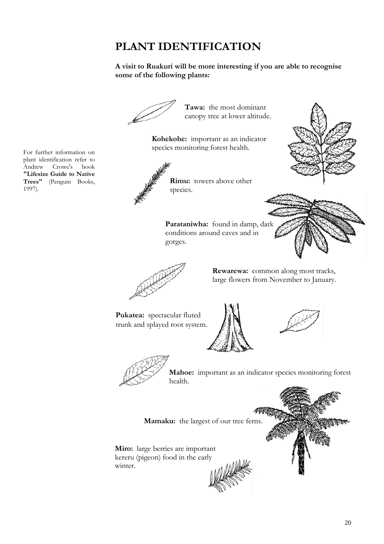# **PLANT IDENTIFICATION**

# **A visit to Ruakuri will be more interesting if you are able to recognise some of the following plants:**



20